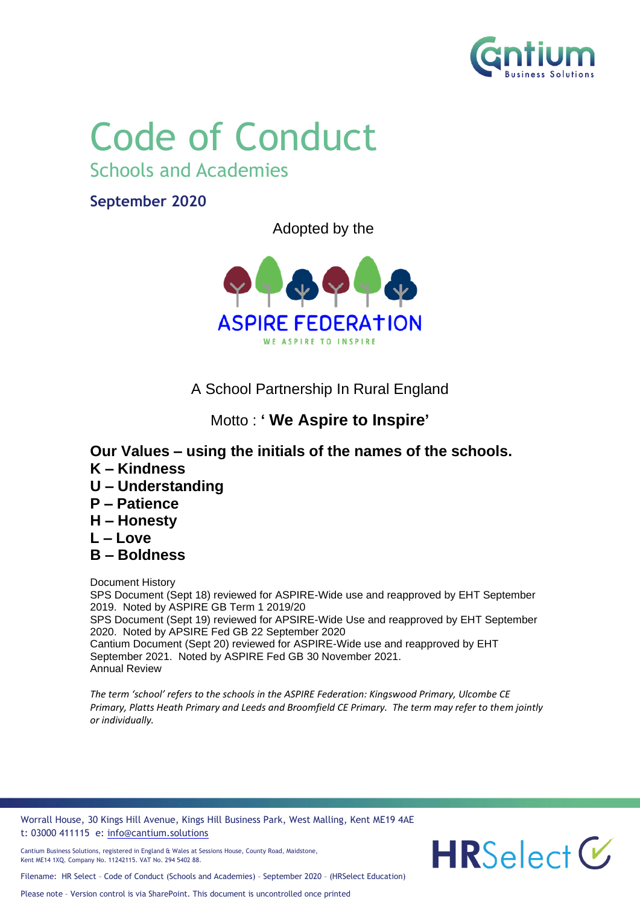

# Code of Conduct

Schools and Academies

**September 2020**

Adopted by the



A School Partnership In Rural England

## Motto : **' We Aspire to Inspire'**

- **Our Values – using the initials of the names of the schools.**
- **K – Kindness**
- **U – Understanding**
- **P – Patience**
- **H – Honesty**
- **L – Love**
- **B – Boldness**

Document History SPS Document (Sept 18) reviewed for ASPIRE-Wide use and reapproved by EHT September 2019. Noted by ASPIRE GB Term 1 2019/20 SPS Document (Sept 19) reviewed for APSIRE-Wide Use and reapproved by EHT September 2020. Noted by APSIRE Fed GB 22 September 2020 Cantium Document (Sept 20) reviewed for ASPIRE-Wide use and reapproved by EHT September 2021. Noted by ASPIRE Fed GB 30 November 2021. Annual Review

*The term 'school' refers to the schools in the ASPIRE Federation: Kingswood Primary, Ulcombe CE Primary, Platts Heath Primary and Leeds and Broomfield CE Primary. The term may refer to them jointly or individually.*

Worrall House, 30 Kings Hill Avenue, Kings Hill Business Park, West Malling, Kent ME19 4AE t: 03000 411115 e: [info@cantium.solutions](mailto:info@cantium.solutions)

Filename: HR Select – Code of Conduct (Schools and Academies) – September 2020 – (HRSelect Education)

Cantium Business Solutions, registered in England & Wales at Sessions House, County Road, Maidstone, Kent ME14 1XQ. Company No. 11242115. VAT No. 294 5402 88.

 $HRSelect C$ 

Please note – Version control is via SharePoint. This document is uncontrolled once printed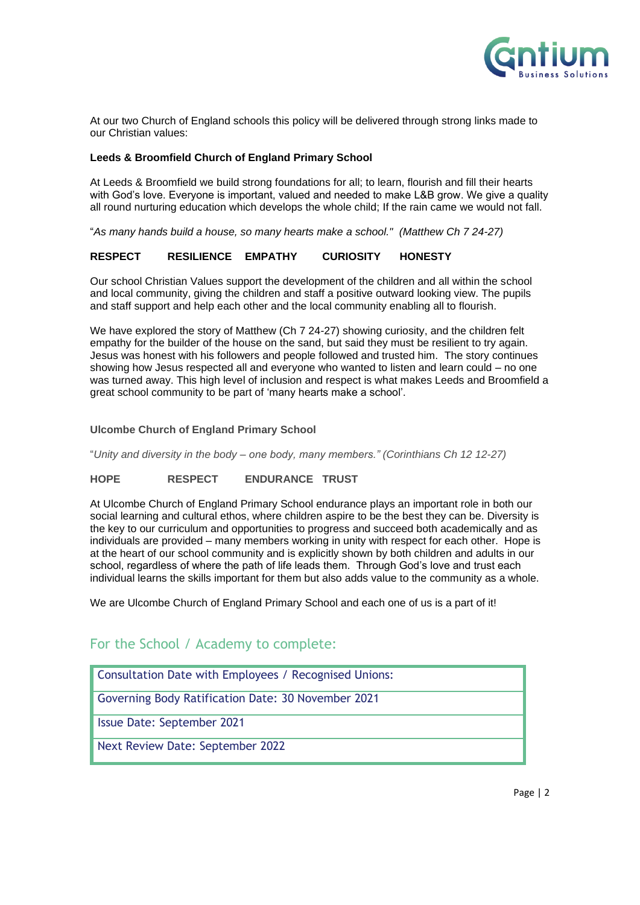

At our two Church of England schools this policy will be delivered through strong links made to our Christian values:

#### **Leeds & Broomfield Church of England Primary School**

At Leeds & Broomfield we build strong foundations for all; to learn, flourish and fill their hearts with God's love. Everyone is important, valued and needed to make L&B grow. We give a quality all round nurturing education which develops the whole child; If the rain came we would not fall.

"*As many hands build a house, so many hearts make a school." (Matthew Ch 7 24-27)*

#### **RESPECT RESILIENCE EMPATHY CURIOSITY HONESTY**

Our school Christian Values support the development of the children and all within the school and local community, giving the children and staff a positive outward looking view. The pupils and staff support and help each other and the local community enabling all to flourish.

We have explored the story of Matthew (Ch 7 24-27) showing curiosity, and the children felt empathy for the builder of the house on the sand, but said they must be resilient to try again. Jesus was honest with his followers and people followed and trusted him. The story continues showing how Jesus respected all and everyone who wanted to listen and learn could – no one was turned away. This high level of inclusion and respect is what makes Leeds and Broomfield a great school community to be part of 'many hearts make a school'.

#### **Ulcombe Church of England Primary School**

"*Unity and diversity in the body – one body, many members." (Corinthians Ch 12 12-27)*

#### **HOPE RESPECT ENDURANCE TRUST**

At Ulcombe Church of England Primary School endurance plays an important role in both our social learning and cultural ethos, where children aspire to be the best they can be. Diversity is the key to our curriculum and opportunities to progress and succeed both academically and as individuals are provided – many members working in unity with respect for each other. Hope is at the heart of our school community and is explicitly shown by both children and adults in our school, regardless of where the path of life leads them. Through God's love and trust each individual learns the skills important for them but also adds value to the community as a whole.

We are Ulcombe Church of England Primary School and each one of us is a part of it!

#### For the School / Academy to complete:

Consultation Date with Employees / Recognised Unions:

Governing Body Ratification Date: 30 November 2021

Issue Date: September 2021

Next Review Date: September 2022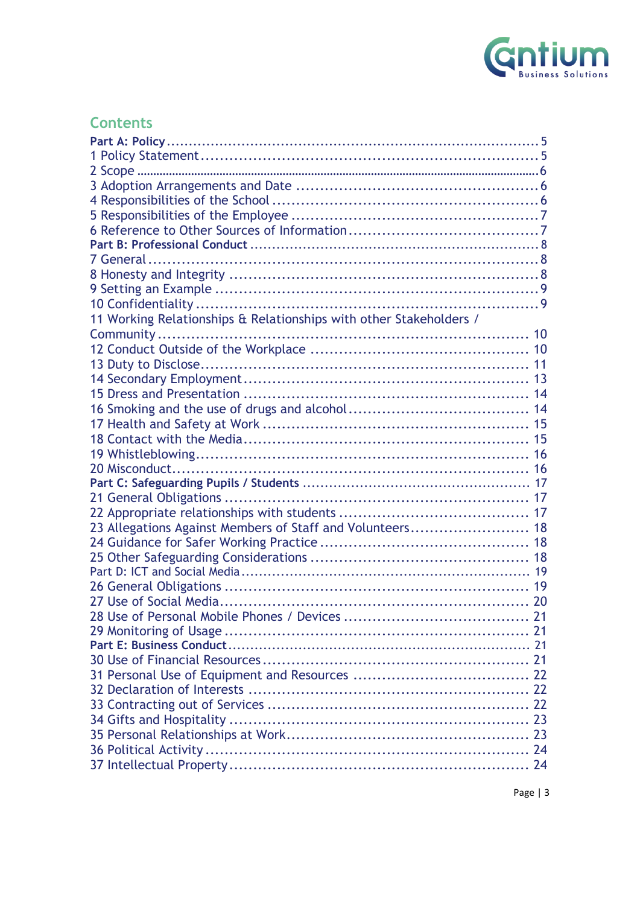

## **Contents**

| 11 Working Relationships & Relationships with other Stakeholders / |  |
|--------------------------------------------------------------------|--|
|                                                                    |  |
|                                                                    |  |
|                                                                    |  |
|                                                                    |  |
|                                                                    |  |
|                                                                    |  |
|                                                                    |  |
|                                                                    |  |
|                                                                    |  |
|                                                                    |  |
|                                                                    |  |
|                                                                    |  |
|                                                                    |  |
| 23 Allegations Against Members of Staff and Volunteers 18          |  |
|                                                                    |  |
|                                                                    |  |
|                                                                    |  |
|                                                                    |  |
|                                                                    |  |
|                                                                    |  |
|                                                                    |  |
|                                                                    |  |
|                                                                    |  |
|                                                                    |  |
|                                                                    |  |
|                                                                    |  |
|                                                                    |  |
|                                                                    |  |
|                                                                    |  |
|                                                                    |  |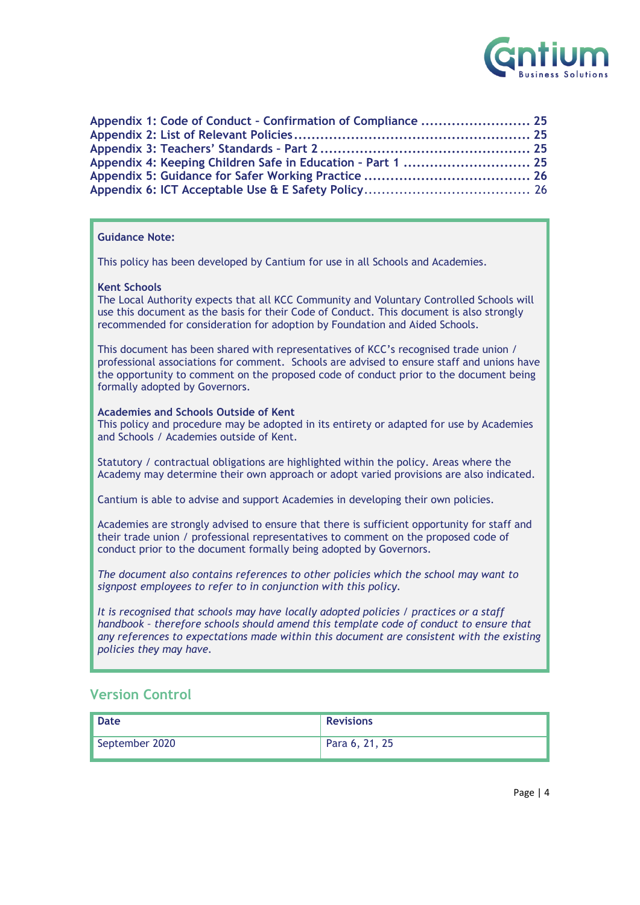

| Appendix 1: Code of Conduct - Confirmation of Compliance  25 |  |
|--------------------------------------------------------------|--|
|                                                              |  |
|                                                              |  |
| Appendix 4: Keeping Children Safe in Education - Part 1  25  |  |
|                                                              |  |
|                                                              |  |

#### **Guidance Note:**

This policy has been developed by Cantium for use in all Schools and Academies.

#### **Kent Schools**

The Local Authority expects that all KCC Community and Voluntary Controlled Schools will use this document as the basis for their Code of Conduct. This document is also strongly recommended for consideration for adoption by Foundation and Aided Schools.

This document has been shared with representatives of KCC's recognised trade union / professional associations for comment. Schools are advised to ensure staff and unions have the opportunity to comment on the proposed code of conduct prior to the document being formally adopted by Governors.

#### **Academies and Schools Outside of Kent**

This policy and procedure may be adopted in its entirety or adapted for use by Academies and Schools / Academies outside of Kent.

Statutory / contractual obligations are highlighted within the policy. Areas where the Academy may determine their own approach or adopt varied provisions are also indicated.

Cantium is able to advise and support Academies in developing their own policies.

Academies are strongly advised to ensure that there is sufficient opportunity for staff and their trade union / professional representatives to comment on the proposed code of conduct prior to the document formally being adopted by Governors.

*The document also contains references to other policies which the school may want to signpost employees to refer to in conjunction with this policy.*

*It is recognised that schools may have locally adopted policies / practices or a staff handbook – therefore schools should amend this template code of conduct to ensure that any references to expectations made within this document are consistent with the existing policies they may have.*

#### **Version Control**

| <b>Date</b>    | <b>Revisions</b> |
|----------------|------------------|
| September 2020 | Para 6, 21, 25   |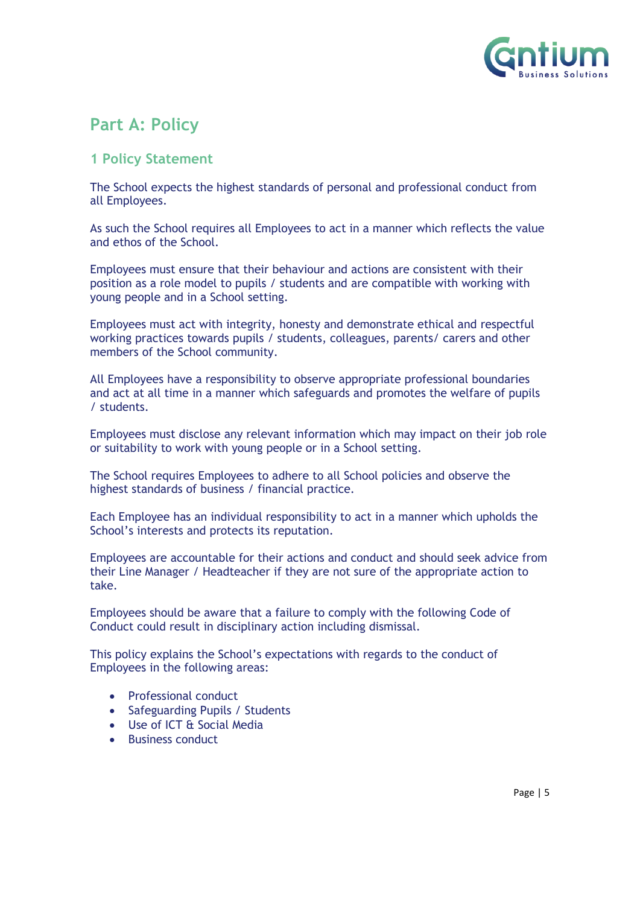

## <span id="page-4-0"></span>**Part A: Policy**

#### <span id="page-4-1"></span>**1 Policy Statement**

The School expects the highest standards of personal and professional conduct from all Employees.

As such the School requires all Employees to act in a manner which reflects the value and ethos of the School.

Employees must ensure that their behaviour and actions are consistent with their position as a role model to pupils / students and are compatible with working with young people and in a School setting.

Employees must act with integrity, honesty and demonstrate ethical and respectful working practices towards pupils / students, colleagues, parents/ carers and other members of the School community.

All Employees have a responsibility to observe appropriate professional boundaries and act at all time in a manner which safeguards and promotes the welfare of pupils / students.

Employees must disclose any relevant information which may impact on their job role or suitability to work with young people or in a School setting.

The School requires Employees to adhere to all School policies and observe the highest standards of business / financial practice.

Each Employee has an individual responsibility to act in a manner which upholds the School's interests and protects its reputation.

Employees are accountable for their actions and conduct and should seek advice from their Line Manager / Headteacher if they are not sure of the appropriate action to take.

Employees should be aware that a failure to comply with the following Code of Conduct could result in disciplinary action including dismissal.

This policy explains the School's expectations with regards to the conduct of Employees in the following areas:

- Professional conduct
- Safeguarding Pupils / Students
- Use of ICT & Social Media
- <span id="page-4-2"></span>• Business conduct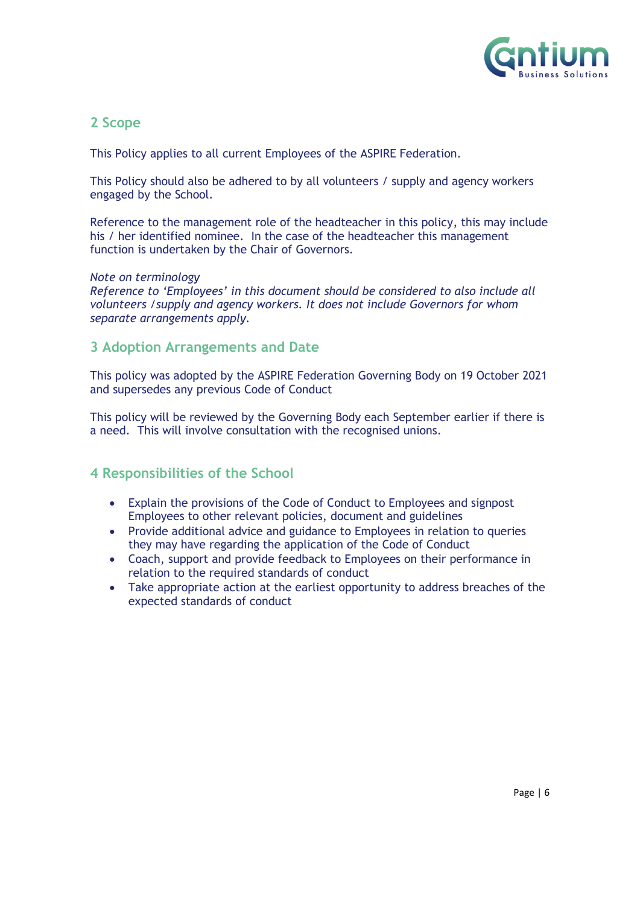

#### **2 Scope**

This Policy applies to all current Employees of the ASPIRE Federation.

This Policy should also be adhered to by all volunteers / supply and agency workers engaged by the School.

Reference to the management role of the headteacher in this policy, this may include his / her identified nominee. In the case of the headteacher this management function is undertaken by the Chair of Governors.

#### *Note on terminology*

*Reference to 'Employees' in this document should be considered to also include all volunteers /supply and agency workers. It does not include Governors for whom separate arrangements apply.*

#### <span id="page-5-0"></span>**3 Adoption Arrangements and Date**

This policy was adopted by the ASPIRE Federation Governing Body on 19 October 2021 and supersedes any previous Code of Conduct

This policy will be reviewed by the Governing Body each September earlier if there is a need. This will involve consultation with the recognised unions.

#### <span id="page-5-1"></span>**4 Responsibilities of the School**

- Explain the provisions of the Code of Conduct to Employees and signpost Employees to other relevant policies, document and guidelines
- Provide additional advice and guidance to Employees in relation to queries they may have regarding the application of the Code of Conduct
- Coach, support and provide feedback to Employees on their performance in relation to the required standards of conduct
- Take appropriate action at the earliest opportunity to address breaches of the expected standards of conduct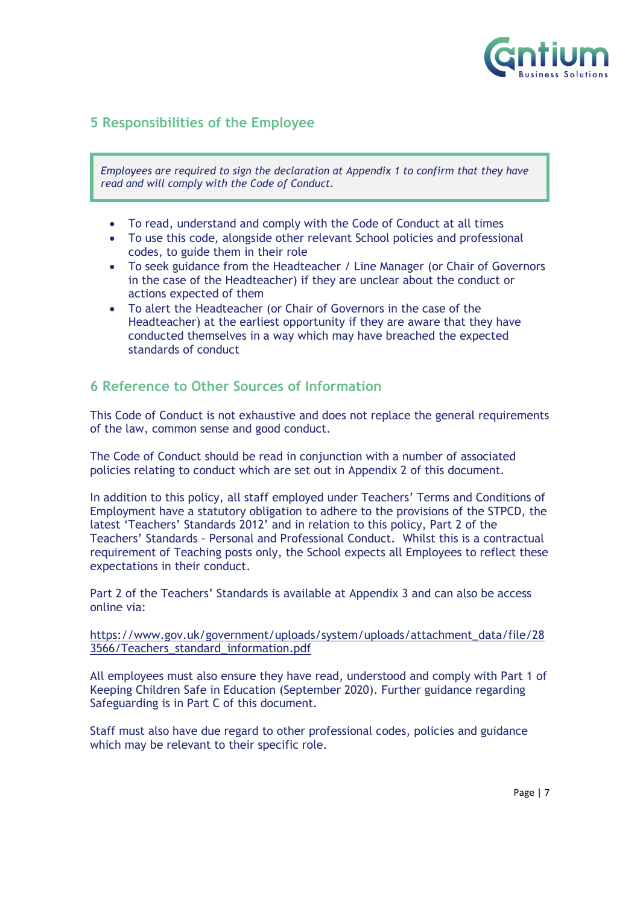

#### <span id="page-6-0"></span>**5 Responsibilities of the Employee**

*Employees are required to sign the declaration at Appendix 1 to confirm that they have read and will comply with the Code of Conduct.*

- To read, understand and comply with the Code of Conduct at all times
- To use this code, alongside other relevant School policies and professional codes, to guide them in their role
- To seek guidance from the Headteacher / Line Manager (or Chair of Governors in the case of the Headteacher) if they are unclear about the conduct or actions expected of them
- To alert the Headteacher (or Chair of Governors in the case of the Headteacher) at the earliest opportunity if they are aware that they have conducted themselves in a way which may have breached the expected standards of conduct

#### <span id="page-6-1"></span>**6 Reference to Other Sources of Information**

This Code of Conduct is not exhaustive and does not replace the general requirements of the law, common sense and good conduct.

The Code of Conduct should be read in conjunction with a number of associated policies relating to conduct which are set out in Appendix 2 of this document.

In addition to this policy, all staff employed under Teachers' Terms and Conditions of Employment have a statutory obligation to adhere to the provisions of the STPCD, the latest 'Teachers' Standards 2012' and in relation to this policy, Part 2 of the Teachers' Standards - Personal and Professional Conduct. Whilst this is a contractual requirement of Teaching posts only, the School expects all Employees to reflect these expectations in their conduct.

Part 2 of the Teachers' Standards is available at Appendix 3 and can also be access online via:

#### [https://www.gov.uk/government/uploads/system/uploads/attachment\\_data/file/28](https://www.gov.uk/government/uploads/system/uploads/attachment_data/file/283566/Teachers_standard_information.pdf) [3566/Teachers\\_standard\\_information.pdf](https://www.gov.uk/government/uploads/system/uploads/attachment_data/file/283566/Teachers_standard_information.pdf)

All employees must also ensure they have read, understood and comply with Part 1 of Keeping Children Safe in Education (September 2020). Further guidance regarding Safeguarding is in Part C of this document.

Staff must also have due regard to other professional codes, policies and guidance which may be relevant to their specific role.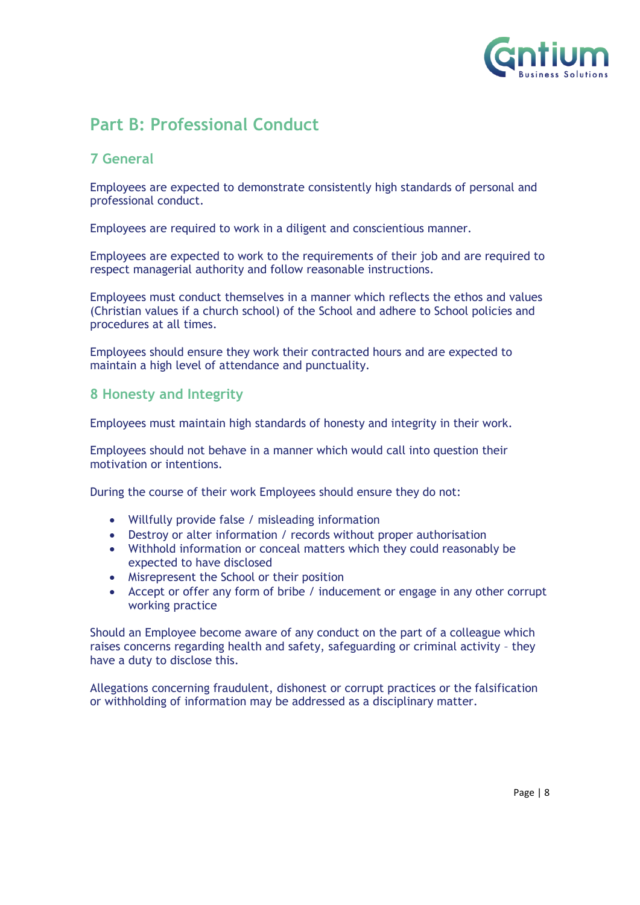

## <span id="page-7-0"></span>**Part B: Professional Conduct**

#### <span id="page-7-1"></span>**7 General**

Employees are expected to demonstrate consistently high standards of personal and professional conduct.

Employees are required to work in a diligent and conscientious manner.

Employees are expected to work to the requirements of their job and are required to respect managerial authority and follow reasonable instructions.

Employees must conduct themselves in a manner which reflects the ethos and values (Christian values if a church school) of the School and adhere to School policies and procedures at all times.

Employees should ensure they work their contracted hours and are expected to maintain a high level of attendance and punctuality.

#### <span id="page-7-2"></span>**8 Honesty and Integrity**

Employees must maintain high standards of honesty and integrity in their work.

Employees should not behave in a manner which would call into question their motivation or intentions.

During the course of their work Employees should ensure they do not:

- Willfully provide false / misleading information
- Destroy or alter information / records without proper authorisation
- Withhold information or conceal matters which they could reasonably be expected to have disclosed
- Misrepresent the School or their position
- Accept or offer any form of bribe / inducement or engage in any other corrupt working practice

Should an Employee become aware of any conduct on the part of a colleague which raises concerns regarding health and safety, safeguarding or criminal activity – they have a duty to disclose this.

Allegations concerning fraudulent, dishonest or corrupt practices or the falsification or withholding of information may be addressed as a disciplinary matter.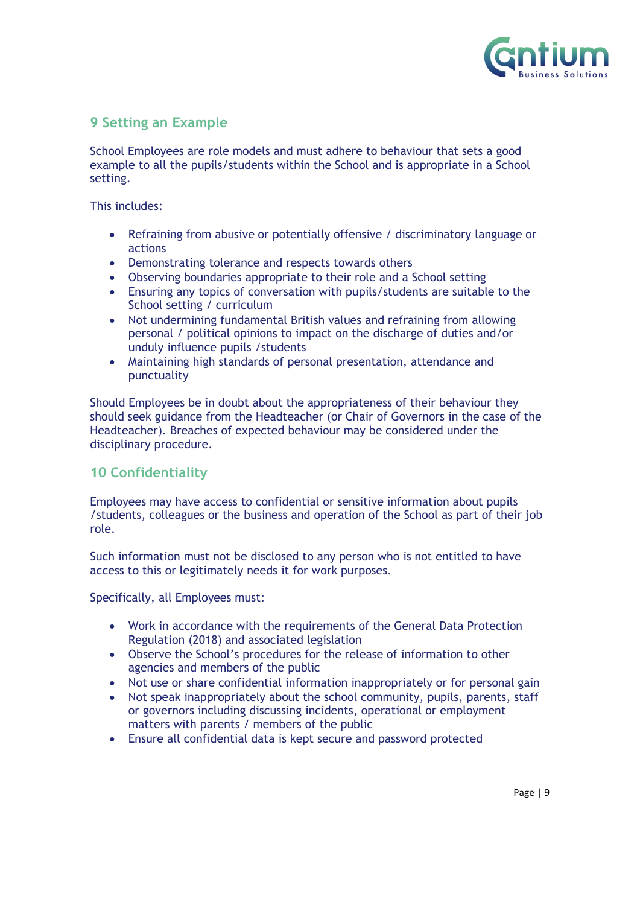

#### <span id="page-8-0"></span>**9 Setting an Example**

School Employees are role models and must adhere to behaviour that sets a good example to all the pupils/students within the School and is appropriate in a School setting.

This includes:

- Refraining from abusive or potentially offensive / discriminatory language or actions
- Demonstrating tolerance and respects towards others
- Observing boundaries appropriate to their role and a School setting
- Ensuring any topics of conversation with pupils/students are suitable to the School setting / curriculum
- Not undermining fundamental British values and refraining from allowing personal / political opinions to impact on the discharge of duties and/or unduly influence pupils /students
- Maintaining high standards of personal presentation, attendance and punctuality

Should Employees be in doubt about the appropriateness of their behaviour they should seek guidance from the Headteacher (or Chair of Governors in the case of the Headteacher). Breaches of expected behaviour may be considered under the disciplinary procedure.

#### <span id="page-8-1"></span>**10 Confidentiality**

Employees may have access to confidential or sensitive information about pupils /students, colleagues or the business and operation of the School as part of their job role.

Such information must not be disclosed to any person who is not entitled to have access to this or legitimately needs it for work purposes.

Specifically, all Employees must:

- Work in accordance with the requirements of the General Data Protection Regulation (2018) and associated legislation
- Observe the School's procedures for the release of information to other agencies and members of the public
- Not use or share confidential information inappropriately or for personal gain
- Not speak inappropriately about the school community, pupils, parents, staff or governors including discussing incidents, operational or employment matters with parents / members of the public
- Ensure all confidential data is kept secure and password protected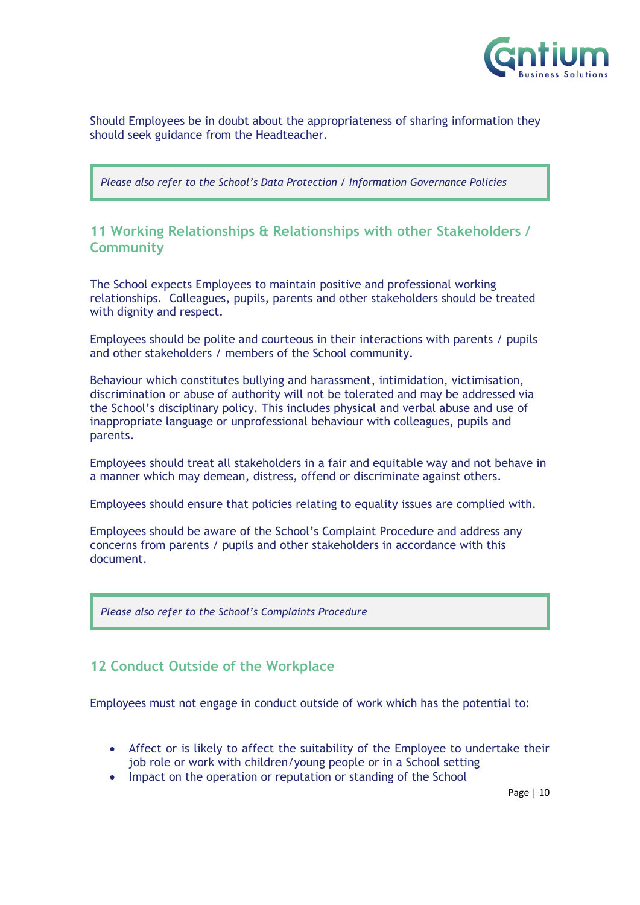

Should Employees be in doubt about the appropriateness of sharing information they should seek guidance from the Headteacher.

*Please also refer to the School's Data Protection / Information Governance Policies*

#### <span id="page-9-0"></span>**11 Working Relationships & Relationships with other Stakeholders / Community**

The School expects Employees to maintain positive and professional working relationships. Colleagues, pupils, parents and other stakeholders should be treated with dignity and respect.

Employees should be polite and courteous in their interactions with parents / pupils and other stakeholders / members of the School community.

Behaviour which constitutes bullying and harassment, intimidation, victimisation, discrimination or abuse of authority will not be tolerated and may be addressed via the School's disciplinary policy. This includes physical and verbal abuse and use of inappropriate language or unprofessional behaviour with colleagues, pupils and parents.

Employees should treat all stakeholders in a fair and equitable way and not behave in a manner which may demean, distress, offend or discriminate against others.

Employees should ensure that policies relating to equality issues are complied with.

Employees should be aware of the School's Complaint Procedure and address any concerns from parents / pupils and other stakeholders in accordance with this document.

*Please also refer to the School's Complaints Procedure*

#### <span id="page-9-1"></span>**12 Conduct Outside of the Workplace**

Employees must not engage in conduct outside of work which has the potential to:

- Affect or is likely to affect the suitability of the Employee to undertake their job role or work with children/young people or in a School setting
- Impact on the operation or reputation or standing of the School

Page | 10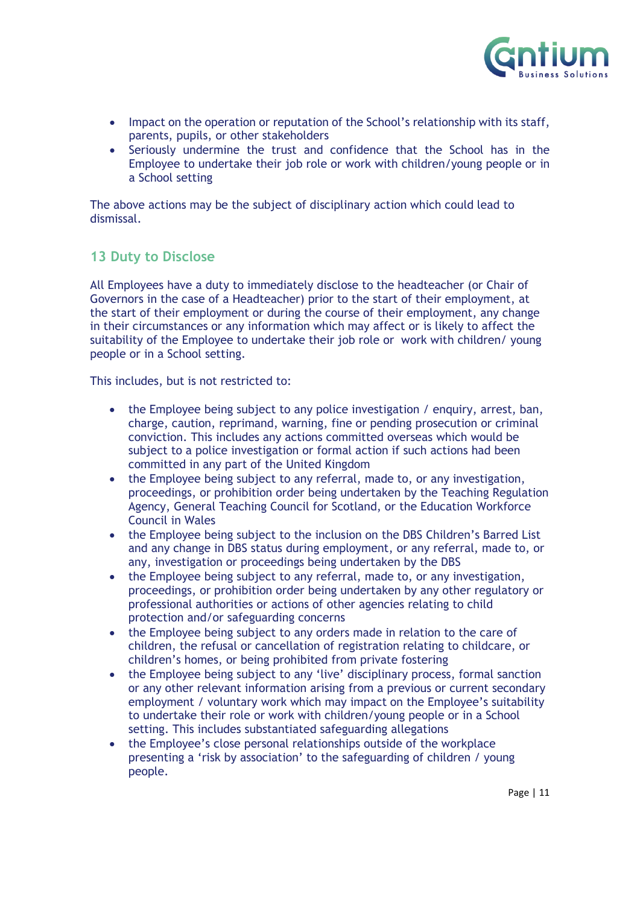

- Impact on the operation or reputation of the School's relationship with its staff, parents, pupils, or other stakeholders
- Seriously undermine the trust and confidence that the School has in the Employee to undertake their job role or work with children/young people or in a School setting

The above actions may be the subject of disciplinary action which could lead to dismissal.

#### <span id="page-10-0"></span>**13 Duty to Disclose**

All Employees have a duty to immediately disclose to the headteacher (or Chair of Governors in the case of a Headteacher) prior to the start of their employment, at the start of their employment or during the course of their employment, any change in their circumstances or any information which may affect or is likely to affect the suitability of the Employee to undertake their job role or work with children/ young people or in a School setting.

This includes, but is not restricted to:

- the Employee being subject to any police investigation / enquiry, arrest, ban, charge, caution, reprimand, warning, fine or pending prosecution or criminal conviction. This includes any actions committed overseas which would be subject to a police investigation or formal action if such actions had been committed in any part of the United Kingdom
- the Employee being subject to any referral, made to, or any investigation, proceedings, or prohibition order being undertaken by the Teaching Regulation Agency, General Teaching Council for Scotland, or the Education Workforce Council in Wales
- the Employee being subject to the inclusion on the DBS Children's Barred List and any change in DBS status during employment, or any referral, made to, or any, investigation or proceedings being undertaken by the DBS
- the Employee being subject to any referral, made to, or any investigation, proceedings, or prohibition order being undertaken by any other regulatory or professional authorities or actions of other agencies relating to child protection and/or safeguarding concerns
- the Employee being subject to any orders made in relation to the care of children, the refusal or cancellation of registration relating to childcare, or children's homes, or being prohibited from private fostering
- the Employee being subject to any 'live' disciplinary process, formal sanction or any other relevant information arising from a previous or current secondary employment / voluntary work which may impact on the Employee's suitability to undertake their role or work with children/young people or in a School setting. This includes substantiated safeguarding allegations
- the Employee's close personal relationships outside of the workplace presenting a 'risk by association' to the safeguarding of children / young people.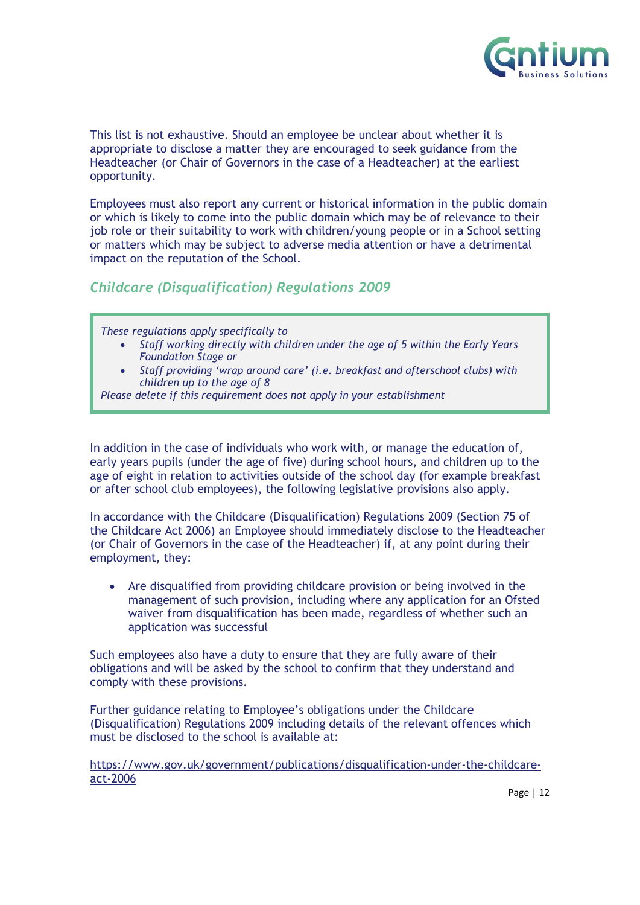

This list is not exhaustive. Should an employee be unclear about whether it is appropriate to disclose a matter they are encouraged to seek guidance from the Headteacher (or Chair of Governors in the case of a Headteacher) at the earliest opportunity.

Employees must also report any current or historical information in the public domain or which is likely to come into the public domain which may be of relevance to their job role or their suitability to work with children/young people or in a School setting or matters which may be subject to adverse media attention or have a detrimental impact on the reputation of the School.

*Childcare (Disqualification) Regulations 2009*

*These regulations apply specifically to* 

- *Staff working directly with children under the age of 5 within the Early Years Foundation Stage or*
- *Staff providing 'wrap around care' (i.e. breakfast and afterschool clubs) with children up to the age of 8*
- *Please delete if this requirement does not apply in your establishment*

In addition in the case of individuals who work with, or manage the education of, early years pupils (under the age of five) during school hours, and children up to the age of eight in relation to activities outside of the school day (for example breakfast or after school club employees), the following legislative provisions also apply.

In accordance with the Childcare (Disqualification) Regulations 2009 (Section 75 of the Childcare Act 2006) an Employee should immediately disclose to the Headteacher (or Chair of Governors in the case of the Headteacher) if, at any point during their employment, they:

• Are disqualified from providing childcare provision or being involved in the management of such provision, including where any application for an Ofsted waiver from disqualification has been made, regardless of whether such an application was successful

Such employees also have a duty to ensure that they are fully aware of their obligations and will be asked by the school to confirm that they understand and comply with these provisions.

Further guidance relating to Employee's obligations under the Childcare (Disqualification) Regulations 2009 including details of the relevant offences which must be disclosed to the school is available at:

[https://www.gov.uk/government/publications/disqualification-under-the-childcare](https://www.gov.uk/government/publications/disqualification-under-the-childcare-act-2006)[act-2006](https://www.gov.uk/government/publications/disqualification-under-the-childcare-act-2006)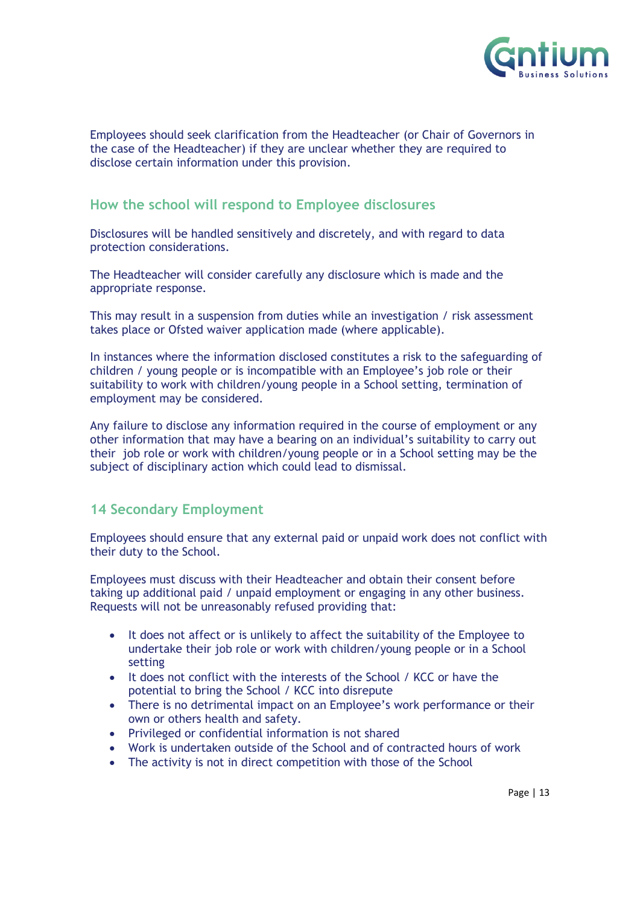

Employees should seek clarification from the Headteacher (or Chair of Governors in the case of the Headteacher) if they are unclear whether they are required to disclose certain information under this provision.

#### **How the school will respond to Employee disclosures**

Disclosures will be handled sensitively and discretely, and with regard to data protection considerations.

The Headteacher will consider carefully any disclosure which is made and the appropriate response.

This may result in a suspension from duties while an investigation / risk assessment takes place or Ofsted waiver application made (where applicable).

In instances where the information disclosed constitutes a risk to the safeguarding of children / young people or is incompatible with an Employee's job role or their suitability to work with children/young people in a School setting, termination of employment may be considered.

Any failure to disclose any information required in the course of employment or any other information that may have a bearing on an individual's suitability to carry out their job role or work with children/young people or in a School setting may be the subject of disciplinary action which could lead to dismissal.

#### <span id="page-12-0"></span>**14 Secondary Employment**

Employees should ensure that any external paid or unpaid work does not conflict with their duty to the School.

Employees must discuss with their Headteacher and obtain their consent before taking up additional paid / unpaid employment or engaging in any other business. Requests will not be unreasonably refused providing that:

- It does not affect or is unlikely to affect the suitability of the Employee to undertake their job role or work with children/young people or in a School setting
- It does not conflict with the interests of the School / KCC or have the potential to bring the School / KCC into disrepute
- There is no detrimental impact on an Employee's work performance or their own or others health and safety.
- Privileged or confidential information is not shared
- Work is undertaken outside of the School and of contracted hours of work
- The activity is not in direct competition with those of the School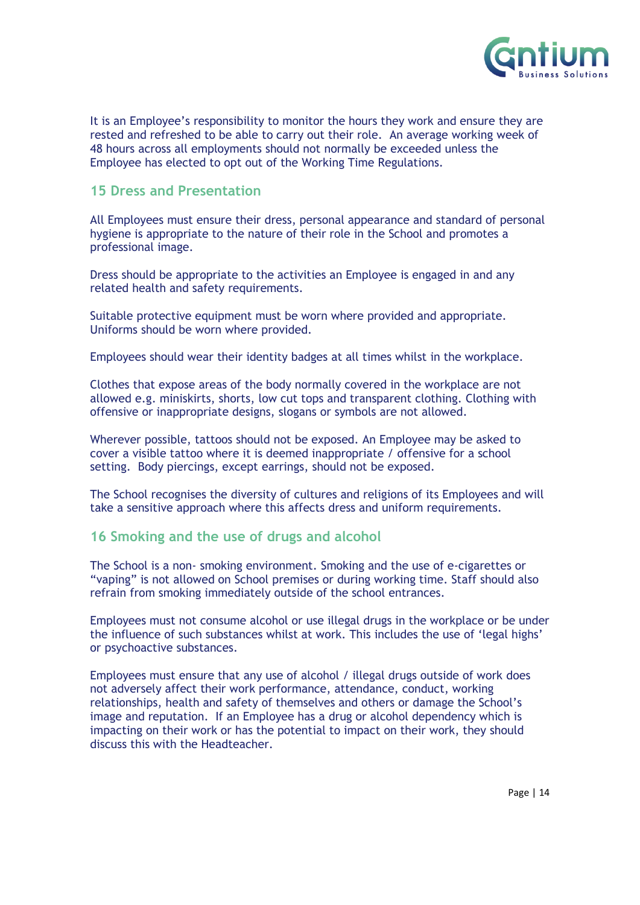

It is an Employee's responsibility to monitor the hours they work and ensure they are rested and refreshed to be able to carry out their role. An average working week of 48 hours across all employments should not normally be exceeded unless the Employee has elected to opt out of the Working Time Regulations.

#### <span id="page-13-0"></span>**15 Dress and Presentation**

All Employees must ensure their dress, personal appearance and standard of personal hygiene is appropriate to the nature of their role in the School and promotes a professional image.

Dress should be appropriate to the activities an Employee is engaged in and any related health and safety requirements.

Suitable protective equipment must be worn where provided and appropriate. Uniforms should be worn where provided.

Employees should wear their identity badges at all times whilst in the workplace.

Clothes that expose areas of the body normally covered in the workplace are not allowed e.g. miniskirts, shorts, low cut tops and transparent clothing. Clothing with offensive or inappropriate designs, slogans or symbols are not allowed.

Wherever possible, tattoos should not be exposed. An Employee may be asked to cover a visible tattoo where it is deemed inappropriate / offensive for a school setting. Body piercings, except earrings, should not be exposed.

The School recognises the diversity of cultures and religions of its Employees and will take a sensitive approach where this affects dress and uniform requirements.

#### <span id="page-13-1"></span>**16 Smoking and the use of drugs and alcohol**

The School is a non- smoking environment. Smoking and the use of e-cigarettes or "vaping" is not allowed on School premises or during working time. Staff should also refrain from smoking immediately outside of the school entrances.

Employees must not consume alcohol or use illegal drugs in the workplace or be under the influence of such substances whilst at work. This includes the use of 'legal highs' or psychoactive substances.

Employees must ensure that any use of alcohol / illegal drugs outside of work does not adversely affect their work performance, attendance, conduct, working relationships, health and safety of themselves and others or damage the School's image and reputation. If an Employee has a drug or alcohol dependency which is impacting on their work or has the potential to impact on their work, they should discuss this with the Headteacher.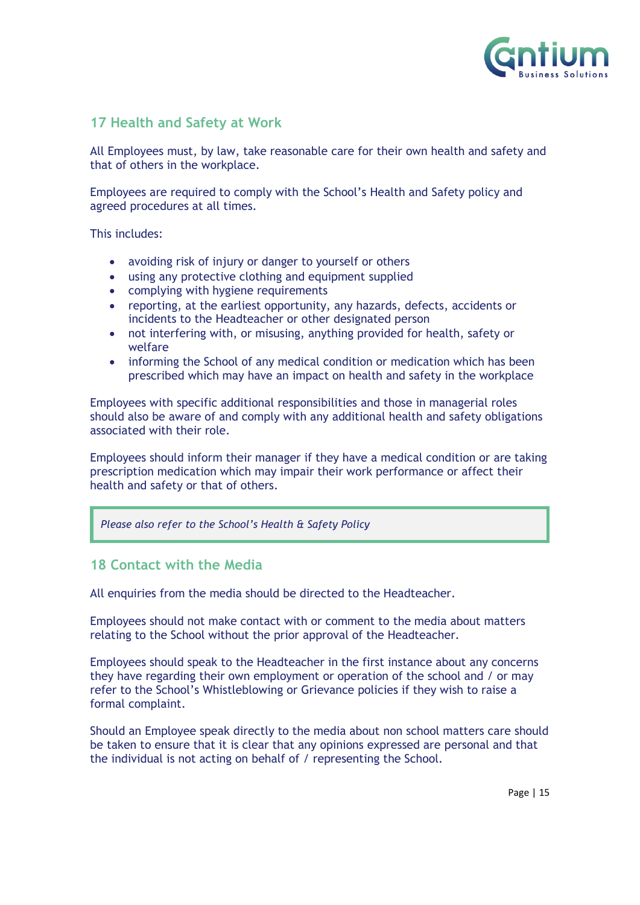

#### <span id="page-14-0"></span>**17 Health and Safety at Work**

All Employees must, by law, take reasonable care for their own health and safety and that of others in the workplace.

Employees are required to comply with the School's Health and Safety policy and agreed procedures at all times.

This includes:

- avoiding risk of injury or danger to yourself or others
- using any protective clothing and equipment supplied
- complying with hygiene requirements
- reporting, at the earliest opportunity, any hazards, defects, accidents or incidents to the Headteacher or other designated person
- not interfering with, or misusing, anything provided for health, safety or welfare
- informing the School of any medical condition or medication which has been prescribed which may have an impact on health and safety in the workplace

Employees with specific additional responsibilities and those in managerial roles should also be aware of and comply with any additional health and safety obligations associated with their role.

Employees should inform their manager if they have a medical condition or are taking prescription medication which may impair their work performance or affect their health and safety or that of others.

*Please also refer to the School's Health & Safety Policy*

#### <span id="page-14-1"></span>**18 Contact with the Media**

All enquiries from the media should be directed to the Headteacher.

Employees should not make contact with or comment to the media about matters relating to the School without the prior approval of the Headteacher.

Employees should speak to the Headteacher in the first instance about any concerns they have regarding their own employment or operation of the school and / or may refer to the School's Whistleblowing or Grievance policies if they wish to raise a formal complaint.

Should an Employee speak directly to the media about non school matters care should be taken to ensure that it is clear that any opinions expressed are personal and that the individual is not acting on behalf of / representing the School.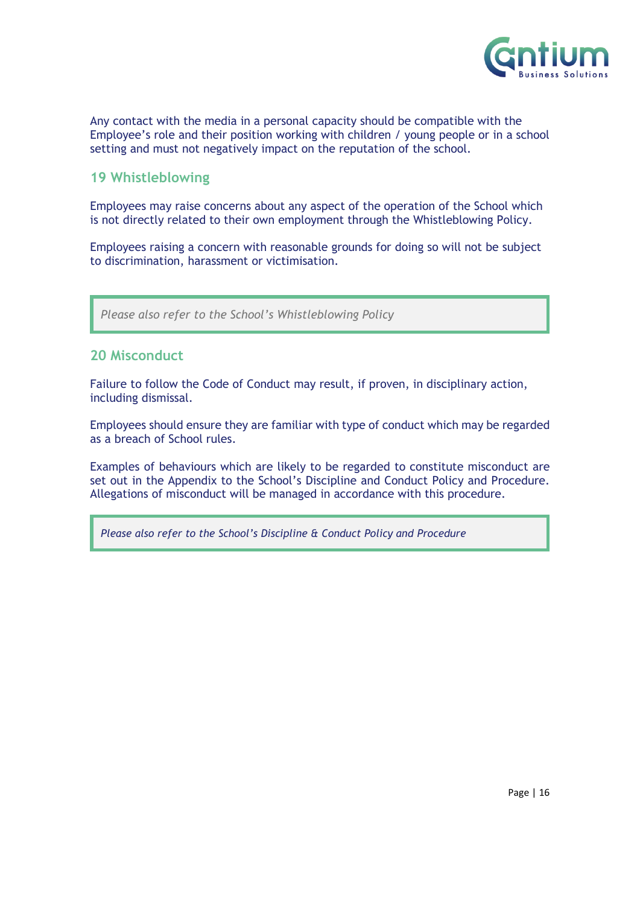

Any contact with the media in a personal capacity should be compatible with the Employee's role and their position working with children / young people or in a school setting and must not negatively impact on the reputation of the school.

#### <span id="page-15-0"></span>**19 Whistleblowing**

Employees may raise concerns about any aspect of the operation of the School which is not directly related to their own employment through the Whistleblowing Policy.

Employees raising a concern with reasonable grounds for doing so will not be subject to discrimination, harassment or victimisation.

*Please also refer to the School's Whistleblowing Policy*

#### <span id="page-15-1"></span>**20 Misconduct**

Failure to follow the Code of Conduct may result, if proven, in disciplinary action, including dismissal.

Employees should ensure they are familiar with type of conduct which may be regarded as a breach of School rules.

Examples of behaviours which are likely to be regarded to constitute misconduct are set out in the Appendix to the School's Discipline and Conduct Policy and Procedure. Allegations of misconduct will be managed in accordance with this procedure.

*Please also refer to the School's Discipline & Conduct Policy and Procedure*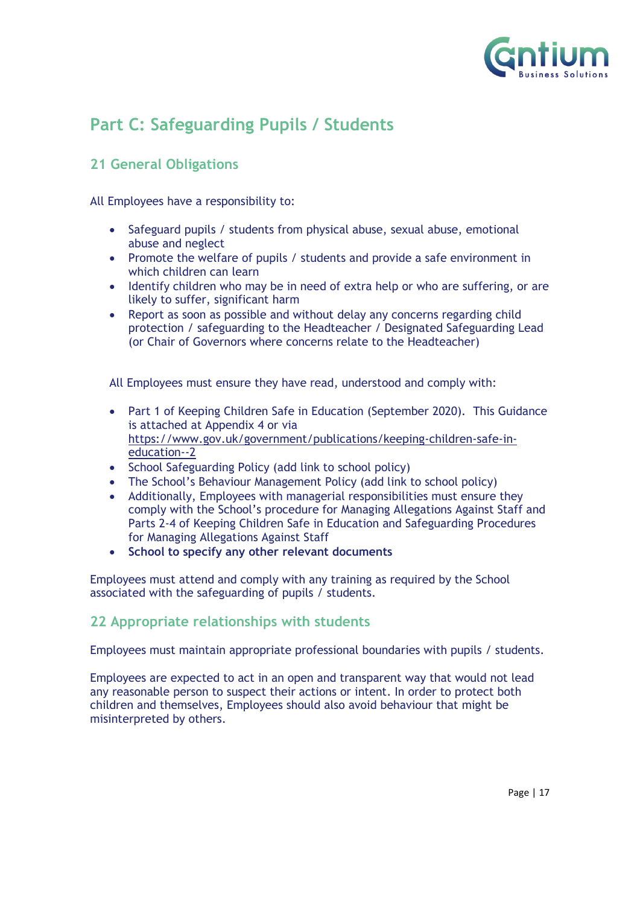

## <span id="page-16-0"></span>**Part C: Safeguarding Pupils / Students**

#### <span id="page-16-1"></span>**21 General Obligations**

All Employees have a responsibility to:

- Safeguard pupils / students from physical abuse, sexual abuse, emotional abuse and neglect
- Promote the welfare of pupils / students and provide a safe environment in which children can learn
- Identify children who may be in need of extra help or who are suffering, or are likely to suffer, significant harm
- Report as soon as possible and without delay any concerns regarding child protection / safeguarding to the Headteacher / Designated Safeguarding Lead (or Chair of Governors where concerns relate to the Headteacher)

All Employees must ensure they have read, understood and comply with:

- Part 1 of Keeping Children Safe in Education (September 2020). This Guidance is attached at Appendix 4 or via [https://www.gov.uk/government/publications/keeping-children-safe-in](https://www.gov.uk/government/publications/keeping-children-safe-in-education--2)[education--2](https://www.gov.uk/government/publications/keeping-children-safe-in-education--2)
- School Safeguarding Policy (add link to school policy)
- The School's Behaviour Management Policy (add link to school policy)
- Additionally, Employees with managerial responsibilities must ensure they comply with the School's procedure for Managing Allegations Against Staff and Parts 2-4 of Keeping Children Safe in Education and Safeguarding Procedures for Managing Allegations Against Staff
- **School to specify any other relevant documents**

Employees must attend and comply with any training as required by the School associated with the safeguarding of pupils / students.

#### <span id="page-16-2"></span>**22 Appropriate relationships with students**

Employees must maintain appropriate professional boundaries with pupils / students.

Employees are expected to act in an open and transparent way that would not lead any reasonable person to suspect their actions or intent. In order to protect both children and themselves, Employees should also avoid behaviour that might be misinterpreted by others.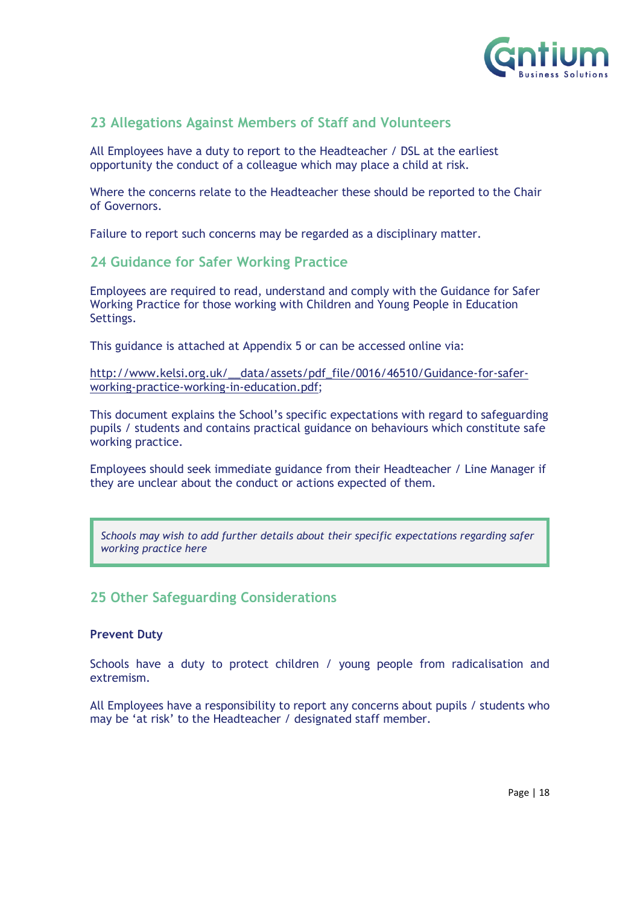

#### <span id="page-17-0"></span>**23 Allegations Against Members of Staff and Volunteers**

All Employees have a duty to report to the Headteacher / DSL at the earliest opportunity the conduct of a colleague which may place a child at risk.

Where the concerns relate to the Headteacher these should be reported to the Chair of Governors.

Failure to report such concerns may be regarded as a disciplinary matter.

#### <span id="page-17-1"></span>**24 Guidance for Safer Working Practice**

Employees are required to read, understand and comply with the Guidance for Safer Working Practice for those working with Children and Young People in Education Settings.

This guidance is attached at Appendix 5 or can be accessed online via:

[http://www.kelsi.org.uk/\\_\\_data/assets/pdf\\_file/0016/46510/Guidance-for-safer](http://www.kelsi.org.uk/__data/assets/pdf_file/0016/46510/Guidance-for-safer-working-practice-working-in-education.pdf)[working-practice-working-in-education.pdf;](http://www.kelsi.org.uk/__data/assets/pdf_file/0016/46510/Guidance-for-safer-working-practice-working-in-education.pdf)

This document explains the School's specific expectations with regard to safeguarding pupils / students and contains practical guidance on behaviours which constitute safe working practice.

Employees should seek immediate guidance from their Headteacher / Line Manager if they are unclear about the conduct or actions expected of them.

*Schools may wish to add further details about their specific expectations regarding safer working practice here* 

#### <span id="page-17-2"></span>**25 Other Safeguarding Considerations**

#### **Prevent Duty**

Schools have a duty to protect children / young people from radicalisation and extremism.

All Employees have a responsibility to report any concerns about pupils / students who may be 'at risk' to the Headteacher / designated staff member.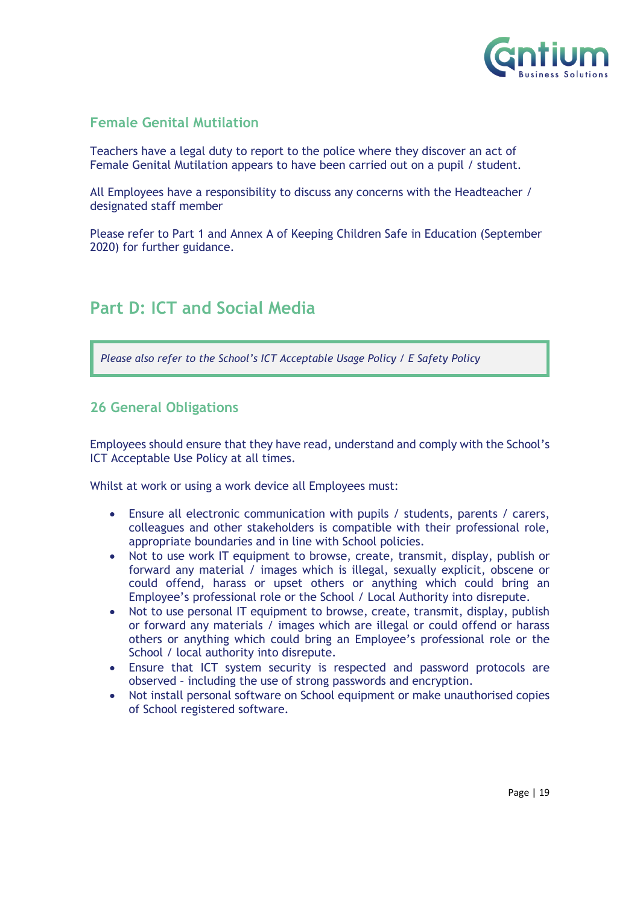

#### **Female Genital Mutilation**

Teachers have a legal duty to report to the police where they discover an act of Female Genital Mutilation appears to have been carried out on a pupil / student.

All Employees have a responsibility to discuss any concerns with the Headteacher / designated staff member

Please refer to Part 1 and Annex A of Keeping Children Safe in Education (September 2020) for further guidance.

## <span id="page-18-0"></span>**Part D: ICT and Social Media**

*Please also refer to the School's ICT Acceptable Usage Policy / E Safety Policy* 

#### <span id="page-18-1"></span>**26 General Obligations**

Employees should ensure that they have read, understand and comply with the School's ICT Acceptable Use Policy at all times.

Whilst at work or using a work device all Employees must:

- Ensure all electronic communication with pupils / students, parents / carers, colleagues and other stakeholders is compatible with their professional role, appropriate boundaries and in line with School policies.
- Not to use work IT equipment to browse, create, transmit, display, publish or forward any material / images which is illegal, sexually explicit, obscene or could offend, harass or upset others or anything which could bring an Employee's professional role or the School / Local Authority into disrepute.
- Not to use personal IT equipment to browse, create, transmit, display, publish or forward any materials / images which are illegal or could offend or harass others or anything which could bring an Employee's professional role or the School / local authority into disrepute.
- Ensure that ICT system security is respected and password protocols are observed – including the use of strong passwords and encryption.
- Not install personal software on School equipment or make unauthorised copies of School registered software.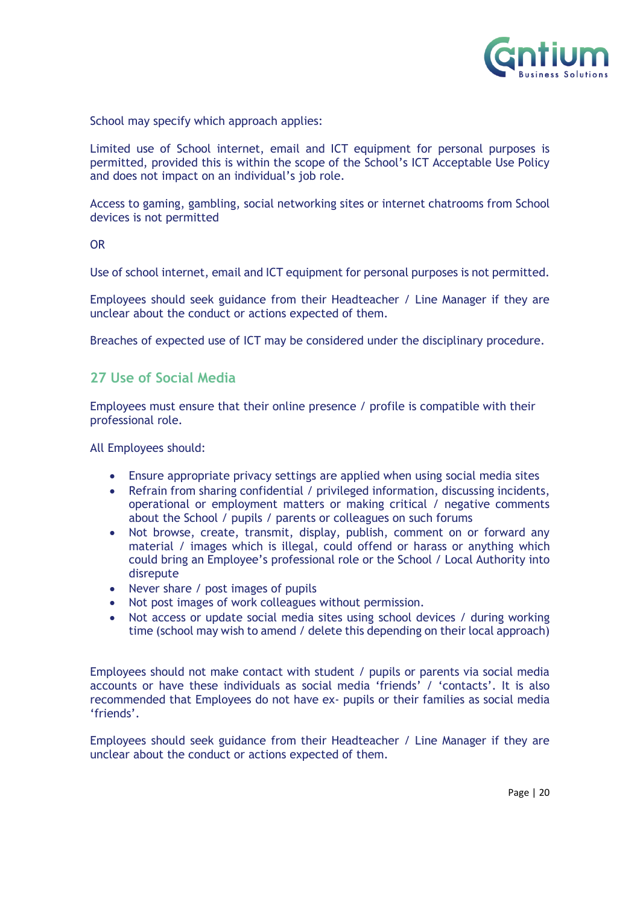

School may specify which approach applies:

Limited use of School internet, email and ICT equipment for personal purposes is permitted, provided this is within the scope of the School's ICT Acceptable Use Policy and does not impact on an individual's job role.

Access to gaming, gambling, social networking sites or internet chatrooms from School devices is not permitted

#### OR

Use of school internet, email and ICT equipment for personal purposes is not permitted.

Employees should seek guidance from their Headteacher / Line Manager if they are unclear about the conduct or actions expected of them.

Breaches of expected use of ICT may be considered under the disciplinary procedure.

#### <span id="page-19-0"></span>**27 Use of Social Media**

Employees must ensure that their online presence / profile is compatible with their professional role.

All Employees should:

- Ensure appropriate privacy settings are applied when using social media sites
- Refrain from sharing confidential / privileged information, discussing incidents, operational or employment matters or making critical / negative comments about the School / pupils / parents or colleagues on such forums
- Not browse, create, transmit, display, publish, comment on or forward any material / images which is illegal, could offend or harass or anything which could bring an Employee's professional role or the School / Local Authority into disrepute
- Never share / post images of pupils
- Not post images of work colleagues without permission.
- Not access or update social media sites using school devices / during working time (school may wish to amend / delete this depending on their local approach)

Employees should not make contact with student / pupils or parents via social media accounts or have these individuals as social media 'friends' / 'contacts'. It is also recommended that Employees do not have ex- pupils or their families as social media 'friends'.

Employees should seek guidance from their Headteacher / Line Manager if they are unclear about the conduct or actions expected of them.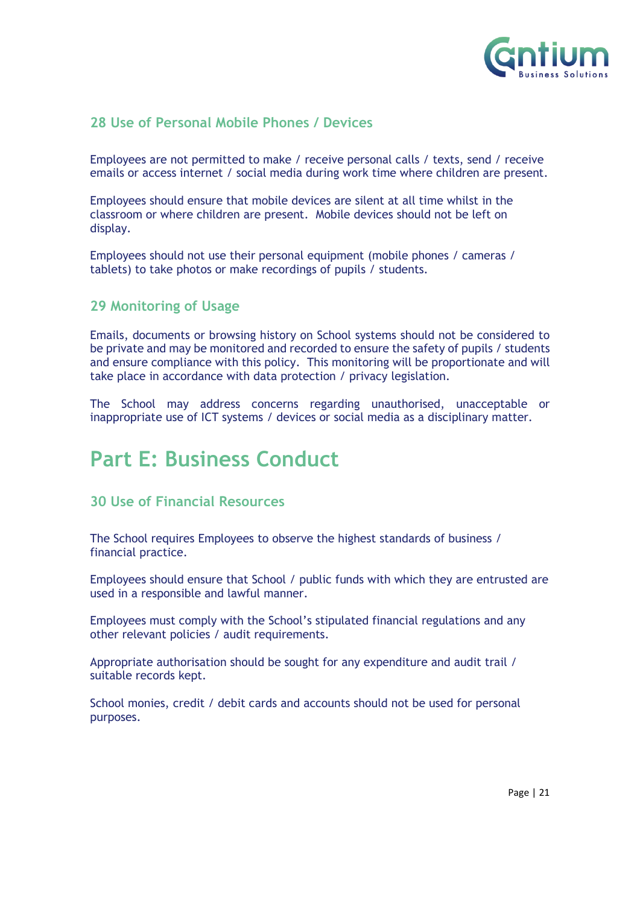

#### <span id="page-20-0"></span>**28 Use of Personal Mobile Phones / Devices**

Employees are not permitted to make / receive personal calls / texts, send / receive emails or access internet / social media during work time where children are present.

Employees should ensure that mobile devices are silent at all time whilst in the classroom or where children are present. Mobile devices should not be left on display.

Employees should not use their personal equipment (mobile phones / cameras / tablets) to take photos or make recordings of pupils / students.

#### <span id="page-20-1"></span>**29 Monitoring of Usage**

Emails, documents or browsing history on School systems should not be considered to be private and may be monitored and recorded to ensure the safety of pupils / students and ensure compliance with this policy.This monitoring will be proportionate and will take place in accordance with data protection / privacy legislation.

The School may address concerns regarding unauthorised, unacceptable or inappropriate use of ICT systems / devices or social media as a disciplinary matter.

## <span id="page-20-2"></span>**Part E: Business Conduct**

#### <span id="page-20-3"></span>**30 Use of Financial Resources**

The School requires Employees to observe the highest standards of business / financial practice.

Employees should ensure that School / public funds with which they are entrusted are used in a responsible and lawful manner.

Employees must comply with the School's stipulated financial regulations and any other relevant policies / audit requirements.

Appropriate authorisation should be sought for any expenditure and audit trail / suitable records kept.

School monies, credit / debit cards and accounts should not be used for personal purposes.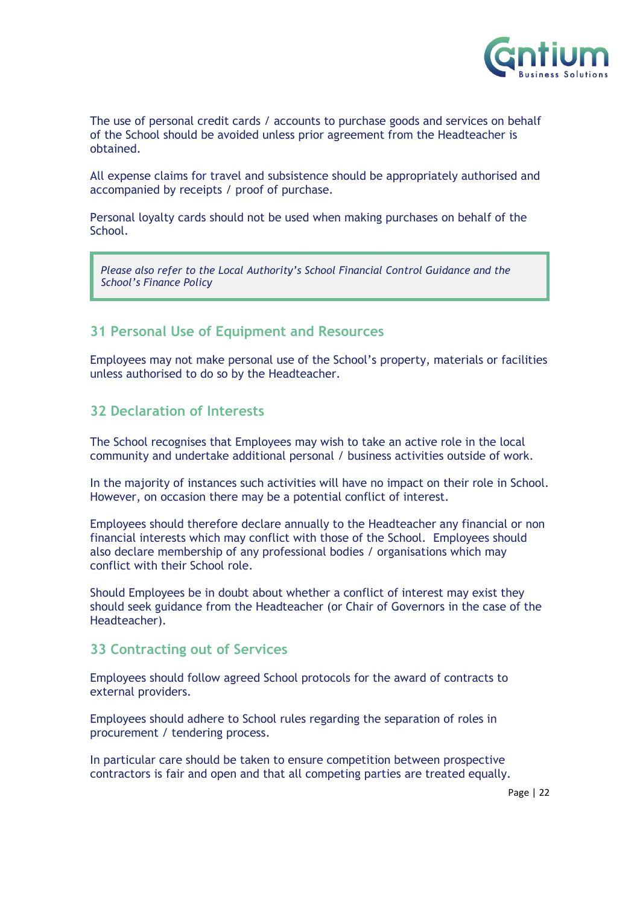

The use of personal credit cards / accounts to purchase goods and services on behalf of the School should be avoided unless prior agreement from the Headteacher is obtained.

All expense claims for travel and subsistence should be appropriately authorised and accompanied by receipts / proof of purchase.

Personal loyalty cards should not be used when making purchases on behalf of the School.

*Please also refer to the Local Authority's School Financial Control Guidance and the School's Finance Policy* 

#### <span id="page-21-0"></span>**31 Personal Use of Equipment and Resources**

Employees may not make personal use of the School's property, materials or facilities unless authorised to do so by the Headteacher.

#### <span id="page-21-1"></span>**32 Declaration of Interests**

The School recognises that Employees may wish to take an active role in the local community and undertake additional personal / business activities outside of work.

In the majority of instances such activities will have no impact on their role in School. However, on occasion there may be a potential conflict of interest.

Employees should therefore declare annually to the Headteacher any financial or non financial interests which may conflict with those of the School. Employees should also declare membership of any professional bodies / organisations which may conflict with their School role.

Should Employees be in doubt about whether a conflict of interest may exist they should seek guidance from the Headteacher (or Chair of Governors in the case of the Headteacher).

#### <span id="page-21-2"></span>**33 Contracting out of Services**

Employees should follow agreed School protocols for the award of contracts to external providers.

Employees should adhere to School rules regarding the separation of roles in procurement / tendering process.

In particular care should be taken to ensure competition between prospective contractors is fair and open and that all competing parties are treated equally.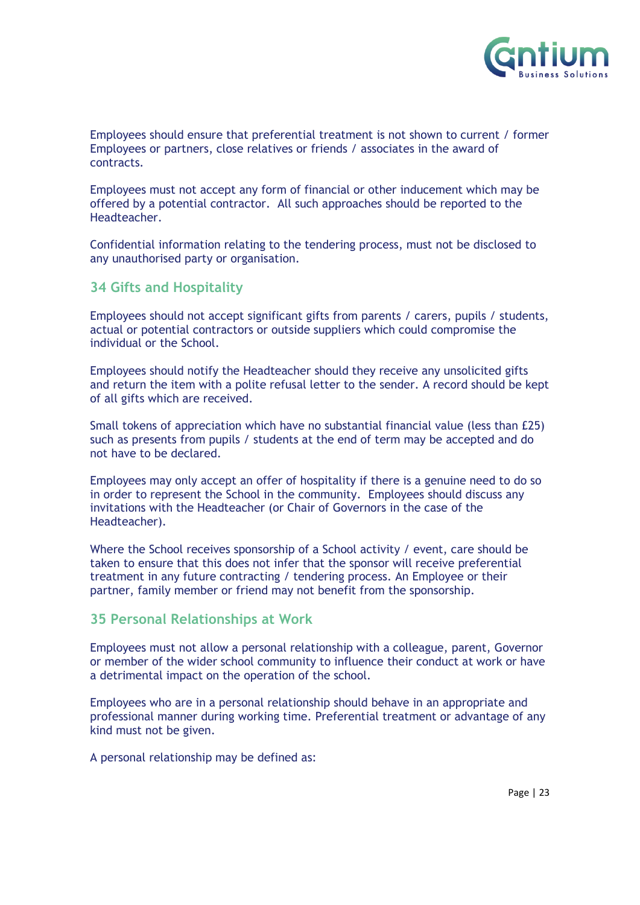

Employees should ensure that preferential treatment is not shown to current / former Employees or partners, close relatives or friends / associates in the award of contracts.

Employees must not accept any form of financial or other inducement which may be offered by a potential contractor. All such approaches should be reported to the Headteacher.

Confidential information relating to the tendering process, must not be disclosed to any unauthorised party or organisation.

#### <span id="page-22-0"></span>**34 Gifts and Hospitality**

Employees should not accept significant gifts from parents / carers, pupils / students, actual or potential contractors or outside suppliers which could compromise the individual or the School.

Employees should notify the Headteacher should they receive any unsolicited gifts and return the item with a polite refusal letter to the sender. A record should be kept of all gifts which are received.

Small tokens of appreciation which have no substantial financial value (less than £25) such as presents from pupils / students at the end of term may be accepted and do not have to be declared.

Employees may only accept an offer of hospitality if there is a genuine need to do so in order to represent the School in the community. Employees should discuss any invitations with the Headteacher (or Chair of Governors in the case of the Headteacher).

Where the School receives sponsorship of a School activity / event, care should be taken to ensure that this does not infer that the sponsor will receive preferential treatment in any future contracting / tendering process. An Employee or their partner, family member or friend may not benefit from the sponsorship.

#### <span id="page-22-1"></span>**35 Personal Relationships at Work**

Employees must not allow a personal relationship with a colleague, parent, Governor or member of the wider school community to influence their conduct at work or have a detrimental impact on the operation of the school.

Employees who are in a personal relationship should behave in an appropriate and professional manner during working time. Preferential treatment or advantage of any kind must not be given.

A personal relationship may be defined as: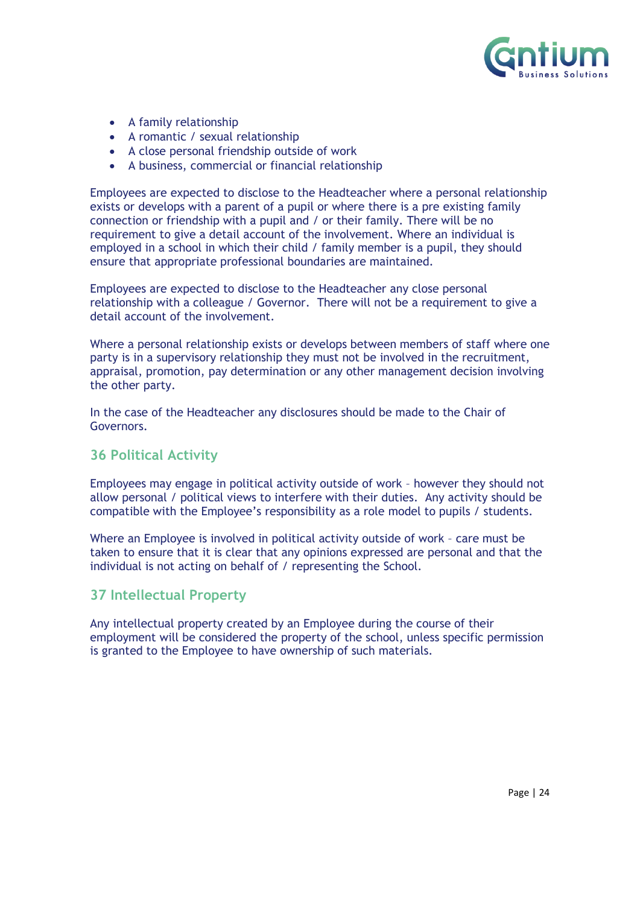

- A family relationship
- A romantic / sexual relationship
- A close personal friendship outside of work
- A business, commercial or financial relationship

Employees are expected to disclose to the Headteacher where a personal relationship exists or develops with a parent of a pupil or where there is a pre existing family connection or friendship with a pupil and / or their family. There will be no requirement to give a detail account of the involvement. Where an individual is employed in a school in which their child / family member is a pupil, they should ensure that appropriate professional boundaries are maintained.

Employees are expected to disclose to the Headteacher any close personal relationship with a colleague / Governor. There will not be a requirement to give a detail account of the involvement.

Where a personal relationship exists or develops between members of staff where one party is in a supervisory relationship they must not be involved in the recruitment, appraisal, promotion, pay determination or any other management decision involving the other party.

In the case of the Headteacher any disclosures should be made to the Chair of Governors.

#### <span id="page-23-0"></span>**36 Political Activity**

Employees may engage in political activity outside of work – however they should not allow personal / political views to interfere with their duties. Any activity should be compatible with the Employee's responsibility as a role model to pupils / students.

Where an Employee is involved in political activity outside of work – care must be taken to ensure that it is clear that any opinions expressed are personal and that the individual is not acting on behalf of / representing the School.

#### <span id="page-23-1"></span>**37 Intellectual Property**

Any intellectual property created by an Employee during the course of their employment will be considered the property of the school, unless specific permission is granted to the Employee to have ownership of such materials.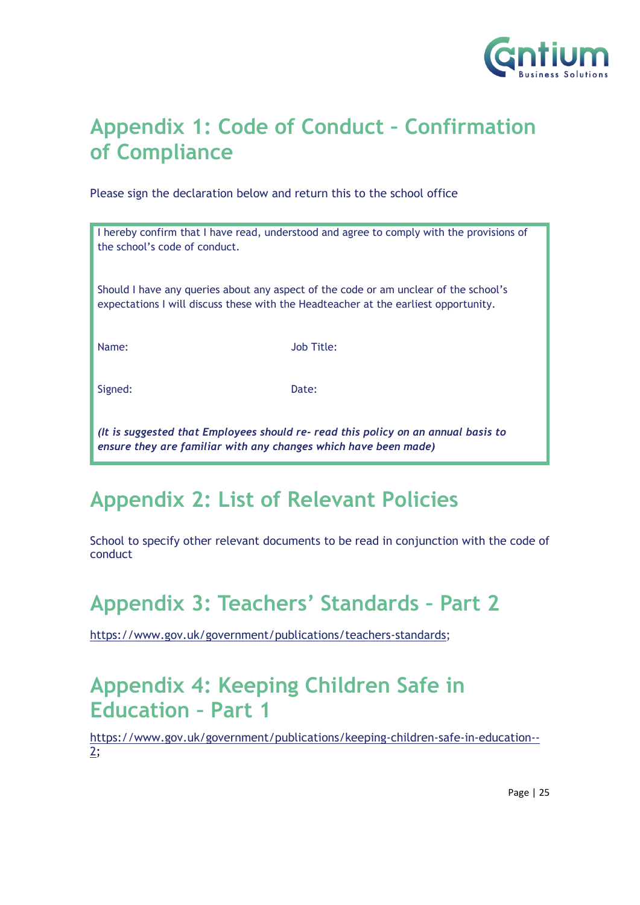

# <span id="page-24-0"></span>**Appendix 1: Code of Conduct – Confirmation of Compliance**

Please sign the declaration below and return this to the school office

| the school's code of conduct.                                                                                                                                               | I hereby confirm that I have read, understood and agree to comply with the provisions of |  |
|-----------------------------------------------------------------------------------------------------------------------------------------------------------------------------|------------------------------------------------------------------------------------------|--|
| Should I have any queries about any aspect of the code or am unclear of the school's<br>expectations I will discuss these with the Headteacher at the earliest opportunity. |                                                                                          |  |
| Name:                                                                                                                                                                       | Job Title:                                                                               |  |
| Signed:                                                                                                                                                                     | Date:                                                                                    |  |
| It is supposed that Employees should re- read this policy on an appual basis to                                                                                             |                                                                                          |  |

*(It is suggested that Employees should re- read this policy on an annual basis to ensure they are familiar with any changes which have been made)*

# <span id="page-24-1"></span>**Appendix 2: List of Relevant Policies**

School to specify other relevant documents to be read in conjunction with the code of conduct

# <span id="page-24-2"></span>**Appendix 3: Teachers' Standards – Part 2**

[https://www.gov.uk/government/publications/teachers-standards;](https://www.gov.uk/government/publications/teachers-standards)

## <span id="page-24-3"></span>**Appendix 4: Keeping Children Safe in Education – Part 1**

[https://www.gov.uk/government/publications/keeping-children-safe-in-education--](https://www.gov.uk/government/publications/keeping-children-safe-in-education--2) [2;](https://www.gov.uk/government/publications/keeping-children-safe-in-education--2)